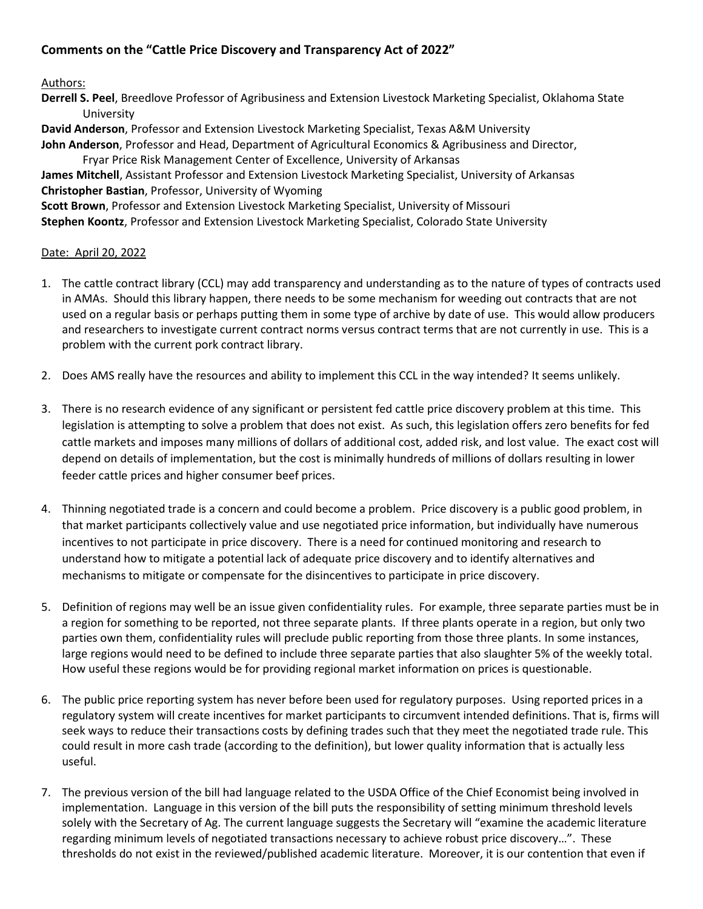## **Comments on the "Cattle Price Discovery and Transparency Act of 2022"**

## Authors:

**Derrell S. Peel**, Breedlove Professor of Agribusiness and Extension Livestock Marketing Specialist, Oklahoma State University

**David Anderson**, Professor and Extension Livestock Marketing Specialist, Texas A&M University **John Anderson**, Professor and Head, Department of Agricultural Economics & Agribusiness and Director,

Fryar Price Risk Management Center of Excellence, University of Arkansas **James Mitchell**, Assistant Professor and Extension Livestock Marketing Specialist, University of Arkansas **Christopher Bastian**, Professor, University of Wyoming **Scott Brown**, Professor and Extension Livestock Marketing Specialist, University of Missouri

**Stephen Koontz**, Professor and Extension Livestock Marketing Specialist, Colorado State University

## Date: April 20, 2022

- 1. The cattle contract library (CCL) may add transparency and understanding as to the nature of types of contracts used in AMAs. Should this library happen, there needs to be some mechanism for weeding out contracts that are not used on a regular basis or perhaps putting them in some type of archive by date of use. This would allow producers and researchers to investigate current contract norms versus contract terms that are not currently in use. This is a problem with the current pork contract library.
- 2. Does AMS really have the resources and ability to implement this CCL in the way intended? It seems unlikely.
- 3. There is no research evidence of any significant or persistent fed cattle price discovery problem at this time. This legislation is attempting to solve a problem that does not exist. As such, this legislation offers zero benefits for fed cattle markets and imposes many millions of dollars of additional cost, added risk, and lost value. The exact cost will depend on details of implementation, but the cost is minimally hundreds of millions of dollars resulting in lower feeder cattle prices and higher consumer beef prices.
- 4. Thinning negotiated trade is a concern and could become a problem. Price discovery is a public good problem, in that market participants collectively value and use negotiated price information, but individually have numerous incentives to not participate in price discovery. There is a need for continued monitoring and research to understand how to mitigate a potential lack of adequate price discovery and to identify alternatives and mechanisms to mitigate or compensate for the disincentives to participate in price discovery.
- 5. Definition of regions may well be an issue given confidentiality rules. For example, three separate parties must be in a region for something to be reported, not three separate plants. If three plants operate in a region, but only two parties own them, confidentiality rules will preclude public reporting from those three plants. In some instances, large regions would need to be defined to include three separate parties that also slaughter 5% of the weekly total. How useful these regions would be for providing regional market information on prices is questionable.
- 6. The public price reporting system has never before been used for regulatory purposes. Using reported prices in a regulatory system will create incentives for market participants to circumvent intended definitions. That is, firms will seek ways to reduce their transactions costs by defining trades such that they meet the negotiated trade rule. This could result in more cash trade (according to the definition), but lower quality information that is actually less useful.
- 7. The previous version of the bill had language related to the USDA Office of the Chief Economist being involved in implementation. Language in this version of the bill puts the responsibility of setting minimum threshold levels solely with the Secretary of Ag. The current language suggests the Secretary will "examine the academic literature regarding minimum levels of negotiated transactions necessary to achieve robust price discovery…". These thresholds do not exist in the reviewed/published academic literature. Moreover, it is our contention that even if